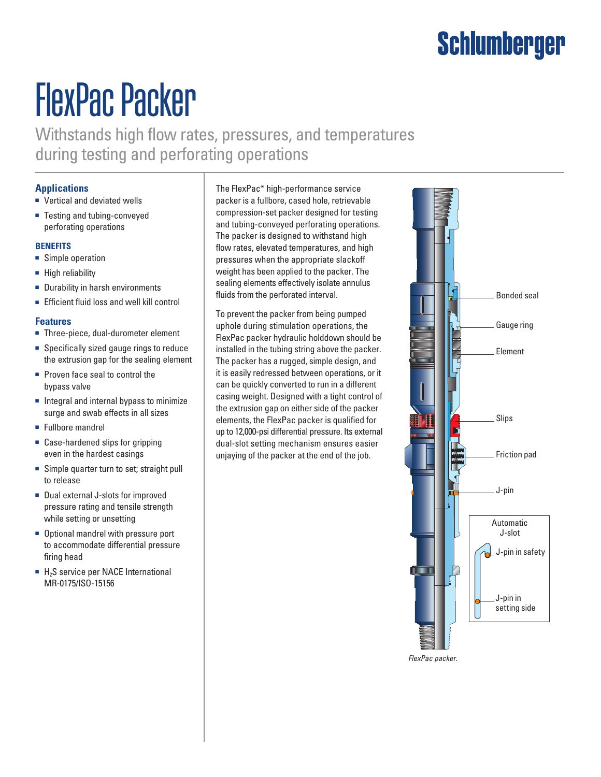## Schlumberger

# FlexPac Packer

Withstands high flow rates, pressures, and temperatures during testing and perforating operations

### **Applications**

- Vertical and deviated wells
- Testing and tubing-conveyed perforating operations

#### **Benefits**

- Simple operation
- High reliability
- Durability in harsh environments
- Efficient fluid loss and well kill control

#### **Features**

- Three-piece, dual-durometer element
- Specifically sized gauge rings to reduce the extrusion gap for the sealing element
- Proven face seal to control the bypass valve
- Integral and internal bypass to minimize surge and swab effects in all sizes
- Fullbore mandrel
- Case-hardened slips for gripping even in the hardest casings
- Simple quarter turn to set; straight pull to release
- Dual external J-slots for improved pressure rating and tensile strength while setting or unsetting
- Optional mandrel with pressure port to accommodate differential pressure firing head
- $H<sub>2</sub>S$  service per NACE International MR-0175/ISO-15156

The FlexPac\* high-performance service packer is a fullbore, cased hole, retrievable compression-set packer designed for testing and tubing-conveyed perforating operations. The packer is designed to withstand high flow rates, elevated temperatures, and high pressures when the appropriate slackoff weight has been applied to the packer. The sealing elements effectively isolate annulus fluids from the perforated interval.

To prevent the packer from being pumped uphole during stimulation operations, the FlexPac packer hydraulic holddown should be installed in the tubing string above the packer. The packer has a rugged, simple design, and it is easily redressed between operations, or it can be quickly converted to run in a different casing weight. Designed with a tight control of the extrusion gap on either side of the packer elements, the FlexPac packer is qualified for up to 12,000-psi differential pressure. Its external dual-slot setting mechanism ensures easier unjaying of the packer at the end of the job.



*FlexPac packer.*